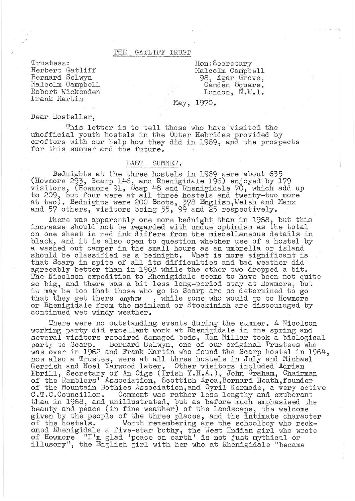#### THE GATLIFF TRUST

Trustees: Herbert Gatliff Bernard Selwyn Malcolm Campbell Robert Wickenden Frank Martin

Hon:Becretary Malcolm Campbell 98, Agar Grove, Camden Square. London, N.W.1.

# May, 1970.

Dear Hosteller,

This letter is to tell those who have visited the uhofficial youth hostels in the Outer Hebrides provided by crofters with our help how they did in 1969, and the prospects for this summer and the future.

### LAST SUMMER.

Bednights at the three hostels in 1969 were about 635 (Howmore 293, Scarp *1*L*1-6,* and Rhenigidale 196) enjoyed by 179 visitors, (Howmore 91, Scap 48 and Rhenigidale 70, which add up to 209, but four were at all three hostels and twenty-two more at two). Bednights were 200 Scots, 378 English, Welsh and Manx and 57 others, visitors being 55, 99 and 25 respectively.

There was apparently one more bednight than in 1968, but this increase should not be regarded with undue optimism as the total on one sheet in red ink differs from the miscellaneous details in black, and it is also open to question whether use of a hostel by a washed out camper in the small hours as an umbrella or island should be classified as a bednight. What is more significant is that Scarp in spite of all its difficulties and bad weather did agreeably better than in 1968 while the other two dropped a bit. The Nicolson expedition to Rhenigidale seems to have been not quite so big, and there was a bit less long-period stay at Howmore, but it may be too that those who go to Scarp are so determined to go that they get there anyhow, while some who would go to Howmore or Rhenigidale from the mainland or Stockinish are discouraged by continued wet windy weather.

There were no outstanding events during the summer. A Nicolson working party did excellent work at Rhenigidale in the spring and several visitors repaired damaged beds, Ian Millar took a biological party to Scarp. Bernard Selwyn, one of our original Trustees who was over in 1962 and Frank Martin who found the Scarp hostel in 1964, now also a Trustee, were at all three hostels in July and Michael Gerrish and Noel Yarwood later. Other visitors included Adrian Ebrill, Secretary of An Oige (Irish Y.H.A.), John Graham, Chairman of the Ramblers' Association, Scottish Area, Bernard Heath, founder of the Mountain Bothies Association,and Cyril Kermode, a very active C.T.C.Councillor. Comment was rather less lengthy and exuberant than in 1968, and unillustrated, but as before much emphasised the beauty and peace (in fine weather) of the landscape, the welcome given by the people of the three places, and the intimate character<br>of the hostels. Worth remembering are the schoolboy who reck-Worth remembering are the schoolboy who reckoned Rhenigidale a five-star bothy, the West Indian girl who wrote of Howmore "I'm glad 'peace on earth' is not just mythical or illusory", the English girl with her who at Rhenigidale "became"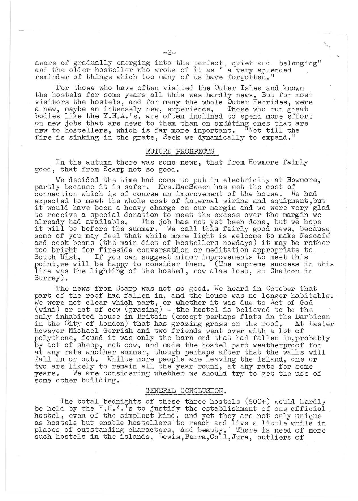aware of gradually emerging into the perfect, quiet and belonging" aware of gradually emerging into the perfect, quiet and below<br>and the older hosteller who wrote of it as " a very splended<br>reminder of things which too many of us have forgotten."

For those who have often visited the Outer Isles and known the hostels for some years all this was hardly news. But for most visitors the hostels, and for many the whole Outer Hebrides, were a new, maybe an intensely new, experience. Those who run great bodies like the Y .I-I.A. **'s.** are often inclined to spend more effort on new jobs that are news to them than on existing ones that are new to hostellers, which is far more important. "Not till the fire is sinking in the grate, Seek we dynamically to expand."

### RUTURE PROSPECTS

In the autumn there was some news, that from Howmore fairly good, that from Scarp not so good.

We decided the time had come to put in electricity at Howmore, partly because it is safer. Mrs. MacSween has met the cost of connection which is of course an improvement of the house. We had expected to meet the whole cost of internal wiring and equipment, but it would have been a heavy charge on our margin and we were very glad to receive a special donation to meet the excess over the margin we<br>already had available. The job has not yet been done, but we hope all eady had available. The job has not yet been done, because, it will be before the summer. We call this fairly good news, because, some of you may feel that while more light is welcome to make Nescafe some or you may reel that while more light is welcome to make wescare<br>and cook beans (the main diet of hostellers nowdays) it may be rather too bright for fireside conversation or meditation appropriate to , South Uist. If you can suggest minor improvements to meet this point, we will be happy to consider them. (The supreme success in this line was the lighting of the hostel, now alas lost, at Chaldon in Surrey).

The news from Scarp was not so good. We heard in October that part of the roof had fallen in, and the house was no longer habitable. part of the roof had failed in, and the house was no longer habits<br>We were not clear which part, or whether it was due to Act of God (wind) or act of cow (grazing) - the hostel is believed to be the only inhabited house in Britain (except perhaps flats in the Barbican in the City of London) that has grazing grass on the roof. At Easter however Michael Gerrish and two friends went over with a lot of polythene, found it was only the barn end that had fallen in, probably by act of sheep, not cow, and made the hostel part weatherproof for at any rate another summer, though perhaps after that the walls will fall in or out. Whilte more people are leaving the island, one or twill in or cas. While more poople are round, at any rate for some two are likely to remain all the year round, at any rate for some years. We are considering whether we should try to get the use of some other building.

# GENERAL CONCLUSION.

The total bednights of these three hostels  $(600+)$  would hardly be held by the Y.H.A.'s to justify the establishment of one official hostel, even of the simplest kind, and yet they are not only unique as hostels but enable hostellers 'to reach and live a little. while in places of outstanding characters, and beauty. There is need of more such hostels in the islands, Lewis, Barra, Coll, Jura, outliers of